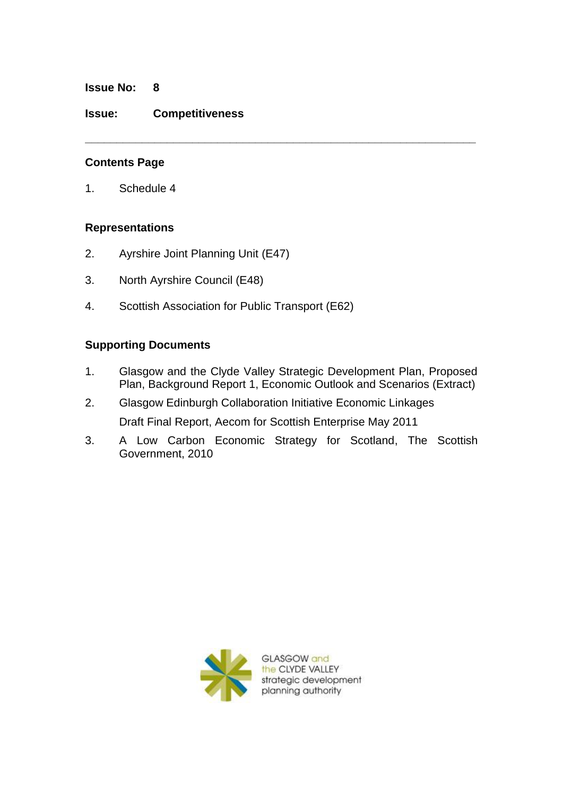**Issue No: 8**

### **Issue: Competitiveness**

## **Contents Page**

1. Schedule 4

# **Representations**

- 2. Ayrshire Joint Planning Unit (E47)
- 3. North Ayrshire Council (E48)
- 4. Scottish Association for Public Transport (E62)

# **Supporting Documents**

1. Glasgow and the Clyde Valley Strategic Development Plan, Proposed Plan, Background Report 1, Economic Outlook and Scenarios (Extract)

**\_\_\_\_\_\_\_\_\_\_\_\_\_\_\_\_\_\_\_\_\_\_\_\_\_\_\_\_\_\_\_\_\_\_\_\_\_\_\_\_\_\_\_\_\_\_\_\_\_\_\_\_\_\_\_\_\_\_\_\_\_\_**

- 2. Glasgow Edinburgh Collaboration Initiative Economic Linkages Draft Final Report, Aecom for Scottish Enterprise May 2011
- 3. A Low Carbon Economic Strategy for Scotland, The Scottish Government, 2010



GLASGOW and the CLYDE VALLEY strategic development planning authority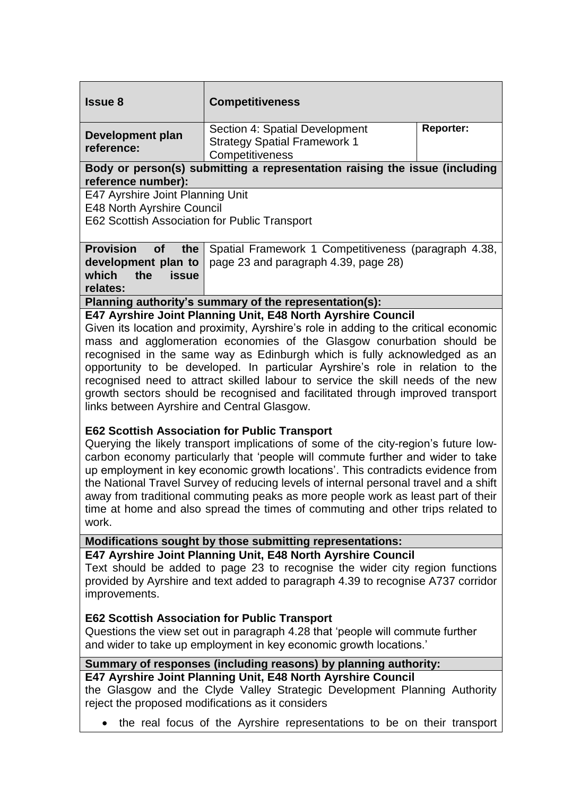| <b>Issue 8</b>                                                                                                                                                                                                                                                                                                                                                                                                                                                                                                                                                                                                                                                                                                                                                                                                                                                                                                                                                                                                                                                                                                                                                                                               | <b>Competitiveness</b>                                                                                       |
|--------------------------------------------------------------------------------------------------------------------------------------------------------------------------------------------------------------------------------------------------------------------------------------------------------------------------------------------------------------------------------------------------------------------------------------------------------------------------------------------------------------------------------------------------------------------------------------------------------------------------------------------------------------------------------------------------------------------------------------------------------------------------------------------------------------------------------------------------------------------------------------------------------------------------------------------------------------------------------------------------------------------------------------------------------------------------------------------------------------------------------------------------------------------------------------------------------------|--------------------------------------------------------------------------------------------------------------|
| <b>Development plan</b><br>reference:                                                                                                                                                                                                                                                                                                                                                                                                                                                                                                                                                                                                                                                                                                                                                                                                                                                                                                                                                                                                                                                                                                                                                                        | <b>Reporter:</b><br>Section 4: Spatial Development<br><b>Strategy Spatial Framework 1</b><br>Competitiveness |
| Body or person(s) submitting a representation raising the issue (including<br>reference number):                                                                                                                                                                                                                                                                                                                                                                                                                                                                                                                                                                                                                                                                                                                                                                                                                                                                                                                                                                                                                                                                                                             |                                                                                                              |
| E47 Ayrshire Joint Planning Unit<br>E48 North Ayrshire Council<br>E62 Scottish Association for Public Transport                                                                                                                                                                                                                                                                                                                                                                                                                                                                                                                                                                                                                                                                                                                                                                                                                                                                                                                                                                                                                                                                                              |                                                                                                              |
| <b>Provision</b><br><b>of</b><br>the<br>development plan to<br>which<br>the<br><b>issue</b><br>relates:                                                                                                                                                                                                                                                                                                                                                                                                                                                                                                                                                                                                                                                                                                                                                                                                                                                                                                                                                                                                                                                                                                      | Spatial Framework 1 Competitiveness (paragraph 4.38,<br>page 23 and paragraph 4.39, page 28)                 |
| Planning authority's summary of the representation(s):                                                                                                                                                                                                                                                                                                                                                                                                                                                                                                                                                                                                                                                                                                                                                                                                                                                                                                                                                                                                                                                                                                                                                       |                                                                                                              |
| E47 Ayrshire Joint Planning Unit, E48 North Ayrshire Council<br>Given its location and proximity, Ayrshire's role in adding to the critical economic<br>mass and agglomeration economies of the Glasgow conurbation should be<br>recognised in the same way as Edinburgh which is fully acknowledged as an<br>opportunity to be developed. In particular Ayrshire's role in relation to the<br>recognised need to attract skilled labour to service the skill needs of the new<br>growth sectors should be recognised and facilitated through improved transport<br>links between Ayrshire and Central Glasgow.<br><b>E62 Scottish Association for Public Transport</b><br>Querying the likely transport implications of some of the city-region's future low-<br>carbon economy particularly that 'people will commute further and wider to take<br>up employment in key economic growth locations'. This contradicts evidence from<br>the National Travel Survey of reducing levels of internal personal travel and a shift<br>away from traditional commuting peaks as more people work as least part of their<br>time at home and also spread the times of commuting and other trips related to<br>work. |                                                                                                              |
| Modifications sought by those submitting representations:                                                                                                                                                                                                                                                                                                                                                                                                                                                                                                                                                                                                                                                                                                                                                                                                                                                                                                                                                                                                                                                                                                                                                    |                                                                                                              |
| E47 Ayrshire Joint Planning Unit, E48 North Ayrshire Council<br>Text should be added to page 23 to recognise the wider city region functions<br>provided by Ayrshire and text added to paragraph 4.39 to recognise A737 corridor<br>improvements.                                                                                                                                                                                                                                                                                                                                                                                                                                                                                                                                                                                                                                                                                                                                                                                                                                                                                                                                                            |                                                                                                              |
| <b>E62 Scottish Association for Public Transport</b><br>Questions the view set out in paragraph 4.28 that 'people will commute further<br>and wider to take up employment in key economic growth locations.'                                                                                                                                                                                                                                                                                                                                                                                                                                                                                                                                                                                                                                                                                                                                                                                                                                                                                                                                                                                                 |                                                                                                              |
| Summary of responses (including reasons) by planning authority:<br>E47 Ayrshire Joint Planning Unit, E48 North Ayrshire Council<br>the Glasgow and the Clyde Valley Strategic Development Planning Authority<br>reject the proposed modifications as it considers                                                                                                                                                                                                                                                                                                                                                                                                                                                                                                                                                                                                                                                                                                                                                                                                                                                                                                                                            |                                                                                                              |
| the real focus of the Ayrshire representations to be on their transport                                                                                                                                                                                                                                                                                                                                                                                                                                                                                                                                                                                                                                                                                                                                                                                                                                                                                                                                                                                                                                                                                                                                      |                                                                                                              |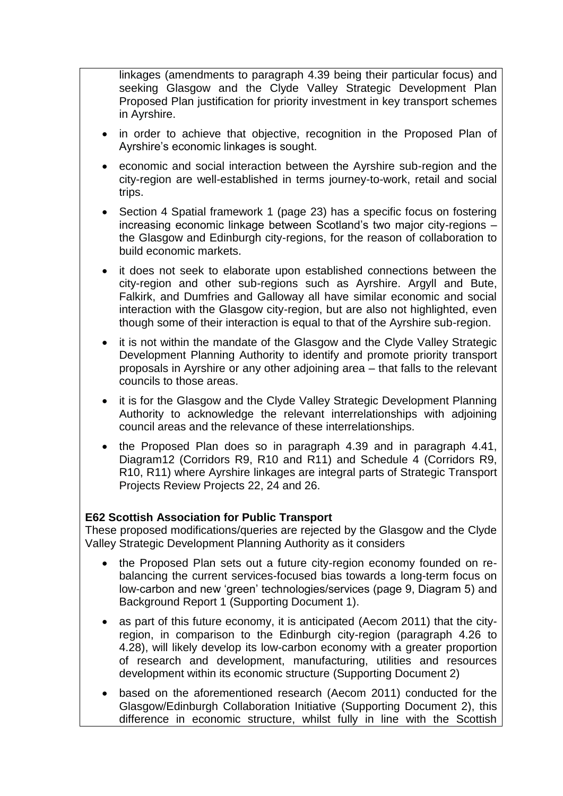linkages (amendments to paragraph 4.39 being their particular focus) and seeking Glasgow and the Clyde Valley Strategic Development Plan Proposed Plan justification for priority investment in key transport schemes in Ayrshire.

- in order to achieve that objective, recognition in the Proposed Plan of Ayrshire's economic linkages is sought.
- economic and social interaction between the Ayrshire sub-region and the city-region are well-established in terms journey-to-work, retail and social trips.
- Section 4 Spatial framework 1 (page 23) has a specific focus on fostering increasing economic linkage between Scotland's two major city-regions – the Glasgow and Edinburgh city-regions, for the reason of collaboration to build economic markets.
- it does not seek to elaborate upon established connections between the city-region and other sub-regions such as Ayrshire. Argyll and Bute, Falkirk, and Dumfries and Galloway all have similar economic and social interaction with the Glasgow city-region, but are also not highlighted, even though some of their interaction is equal to that of the Ayrshire sub-region.
- it is not within the mandate of the Glasgow and the Clyde Valley Strategic Development Planning Authority to identify and promote priority transport proposals in Ayrshire or any other adjoining area – that falls to the relevant councils to those areas.
- it is for the Glasgow and the Clyde Valley Strategic Development Planning Authority to acknowledge the relevant interrelationships with adjoining council areas and the relevance of these interrelationships.
- the Proposed Plan does so in paragraph 4.39 and in paragraph 4.41, Diagram12 (Corridors R9, R10 and R11) and Schedule 4 (Corridors R9, R10, R11) where Ayrshire linkages are integral parts of Strategic Transport Projects Review Projects 22, 24 and 26.

### **E62 Scottish Association for Public Transport**

These proposed modifications/queries are rejected by the Glasgow and the Clyde Valley Strategic Development Planning Authority as it considers

- the Proposed Plan sets out a future city-region economy founded on rebalancing the current services-focused bias towards a long-term focus on low-carbon and new 'green' technologies/services (page 9, Diagram 5) and Background Report 1 (Supporting Document 1).
- as part of this future economy, it is anticipated (Aecom 2011) that the cityregion, in comparison to the Edinburgh city-region (paragraph 4.26 to 4.28), will likely develop its low-carbon economy with a greater proportion of research and development, manufacturing, utilities and resources development within its economic structure (Supporting Document 2)
- based on the aforementioned research (Aecom 2011) conducted for the Glasgow/Edinburgh Collaboration Initiative (Supporting Document 2), this difference in economic structure, whilst fully in line with the Scottish